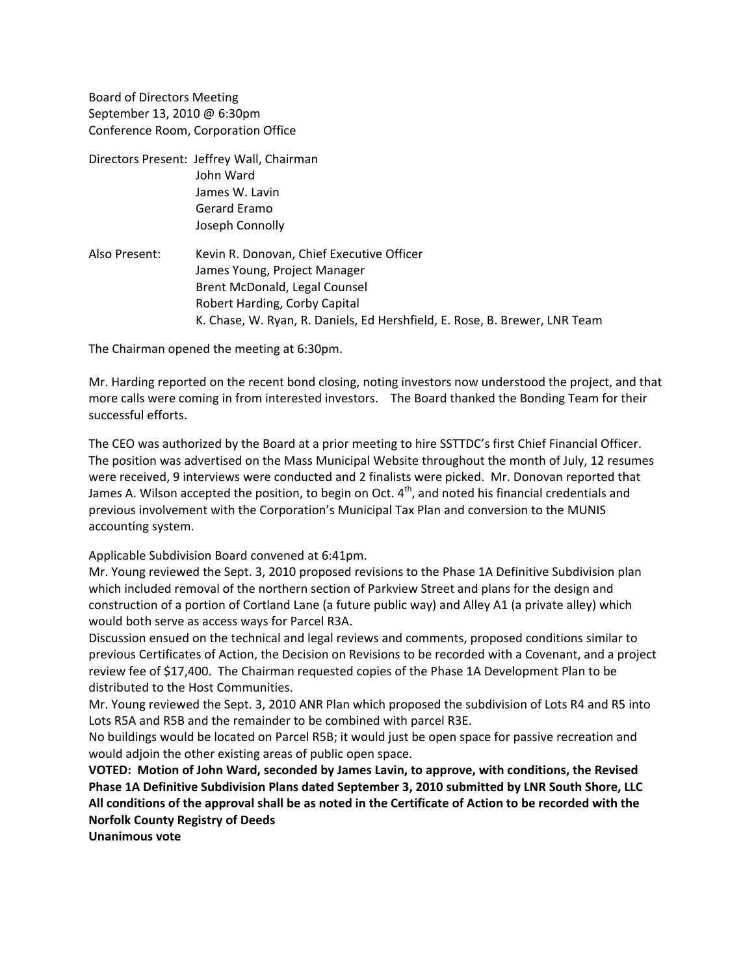Board of Directors Meeting September 13, 2010 @ 6:30pm Conference Room, Corporation Office

- Directors Present: Jeffrey Wall, Chairman John Ward James W. Lavin Gerard Eramo Joseph Connolly
- Also Present: Kevin R. Donovan, Chief Executive Officer James Young, Project Manager Brent McDonald, Legal Counsel Robert Harding, Corby Capital K. Chase, W. Ryan, R. Daniels, Ed Hershfield, E. Rose, B. Brewer, LNR Team

The Chairman opened the meeting at 6:30pm.

Mr. Harding reported on the recent bond closing, noting investors now understood the project, and that more calls were coming in from interested investors. The Board thanked the Bonding Team for their successful efforts.

The CEO was authorized by the Board at a prior meeting to hire SSTTDC's first Chief Financial Officer. The position was advertised on the Mass Municipal Website throughout the month of July, 12 resumes were received, 9 interviews were conducted and 2 finalists were picked. Mr. Donovan reported that James A. Wilson accepted the position, to begin on Oct.  $4<sup>th</sup>$ , and noted his financial credentials and previous involvement with the Corporation's Municipal Tax Plan and conversion to the MUNIS accounting system.

Applicable Subdivision Board convened at 6:41pm.

Mr. Young reviewed the Sept. 3, 2010 proposed revisions to the Phase 1A Definitive Subdivision plan which included removal of the northern section of Parkview Street and plans for the design and construction of a portion of Cortland Lane (a future public way) and Alley A1 (a private alley) which would both serve as access ways for Parcel R3A.

Discussion ensued on the technical and legal reviews and comments, proposed conditions similar to previous Certificates of Action, the Decision on Revisions to be recorded with a Covenant, and a project review fee of \$17,400. The Chairman requested copies of the Phase 1A Development Plan to be distributed to the Host Communities.

Mr. Young reviewed the Sept. 3, 2010 ANR Plan which proposed the subdivision of Lots R4 and R5 into Lots R5A and R5B and the remainder to be combined with parcel R3E.

No buildings would be located on Parcel R5B; it would just be open space for passive recreation and would adjoin the other existing areas of public open space.

**VOTED: Motion of John Ward, seconded by James Lavin, to approve, with conditions, the Revised Phase 1A Definitive Subdivision Plans dated September 3, 2010 submitted by LNR South Shore, LLC**  All conditions of the approval shall be as noted in the Certificate of Action to be recorded with the **Norfolk County Registry of Deeds**

**Unanimous vote**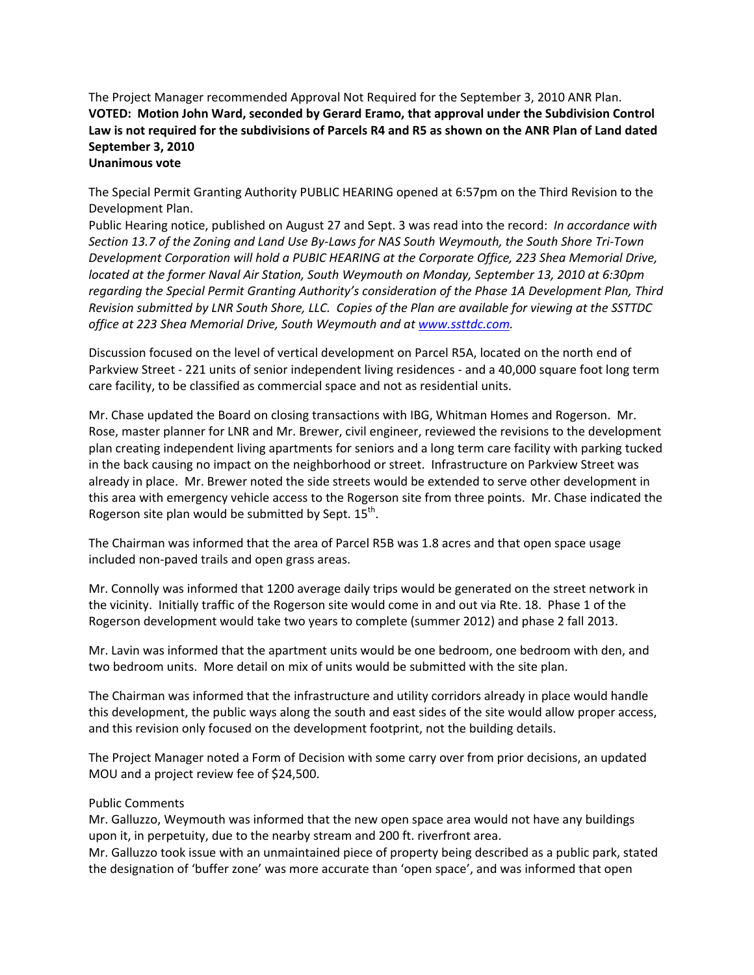The Project Manager recommended Approval Not Required for the September 3, 2010 ANR Plan. **VOTED: Motion John Ward, seconded by Gerard Eramo, that approval under the Subdivision Control** Law is not required for the subdivisions of Parcels R4 and R5 as shown on the ANR Plan of Land dated **September 3, 2010 Unanimous vote**

The Special Permit Granting Authority PUBLIC HEARING opened at 6:57pm on the Third Revision to the Development Plan.

Public Hearing notice, published on August 27 and Sept. 3 was read into the record: *In accordance with* Section 13.7 of the Zoning and Land Use By-Laws for NAS South Weymouth, the South Shore Tri-Town *Development Corporation will hold a PUBIC HEARING at the Corporate Office, 223 Shea Memorial Drive, located at the former Naval Air Station, South Weymouth on Monday, September 13, 2010 at 6:30pm regarding the Special Permit Granting Authority's consideration of the Phase 1A Development Plan, Third* Revision submitted by LNR South Shore, LLC. Copies of the Plan are available for viewing at the SSTTDC *office at 223 Shea Memorial Drive, South Weymouth and at www.ssttdc.com.*

Discussion focused on the level of vertical development on Parcel R5A, located on the north end of Parkview Street ‐ 221 units of senior independent living residences ‐ and a 40,000 square foot long term care facility, to be classified as commercial space and not as residential units.

Mr. Chase updated the Board on closing transactions with IBG, Whitman Homes and Rogerson. Mr. Rose, master planner for LNR and Mr. Brewer, civil engineer, reviewed the revisions to the development plan creating independent living apartments for seniors and a long term care facility with parking tucked in the back causing no impact on the neighborhood or street. Infrastructure on Parkview Street was already in place. Mr. Brewer noted the side streets would be extended to serve other development in this area with emergency vehicle access to the Rogerson site from three points. Mr. Chase indicated the Rogerson site plan would be submitted by Sept.  $15^{th}$ .

The Chairman was informed that the area of Parcel R5B was 1.8 acres and that open space usage included non‐paved trails and open grass areas.

Mr. Connolly was informed that 1200 average daily trips would be generated on the street network in the vicinity. Initially traffic of the Rogerson site would come in and out via Rte. 18. Phase 1 of the Rogerson development would take two years to complete (summer 2012) and phase 2 fall 2013.

Mr. Lavin was informed that the apartment units would be one bedroom, one bedroom with den, and two bedroom units. More detail on mix of units would be submitted with the site plan.

The Chairman was informed that the infrastructure and utility corridors already in place would handle this development, the public ways along the south and east sides of the site would allow proper access, and this revision only focused on the development footprint, not the building details.

The Project Manager noted a Form of Decision with some carry over from prior decisions, an updated MOU and a project review fee of \$24,500.

# Public Comments

Mr. Galluzzo, Weymouth was informed that the new open space area would not have any buildings upon it, in perpetuity, due to the nearby stream and 200 ft. riverfront area.

Mr. Galluzzo took issue with an unmaintained piece of property being described as a public park, stated the designation of 'buffer zone' was more accurate than 'open space', and was informed that open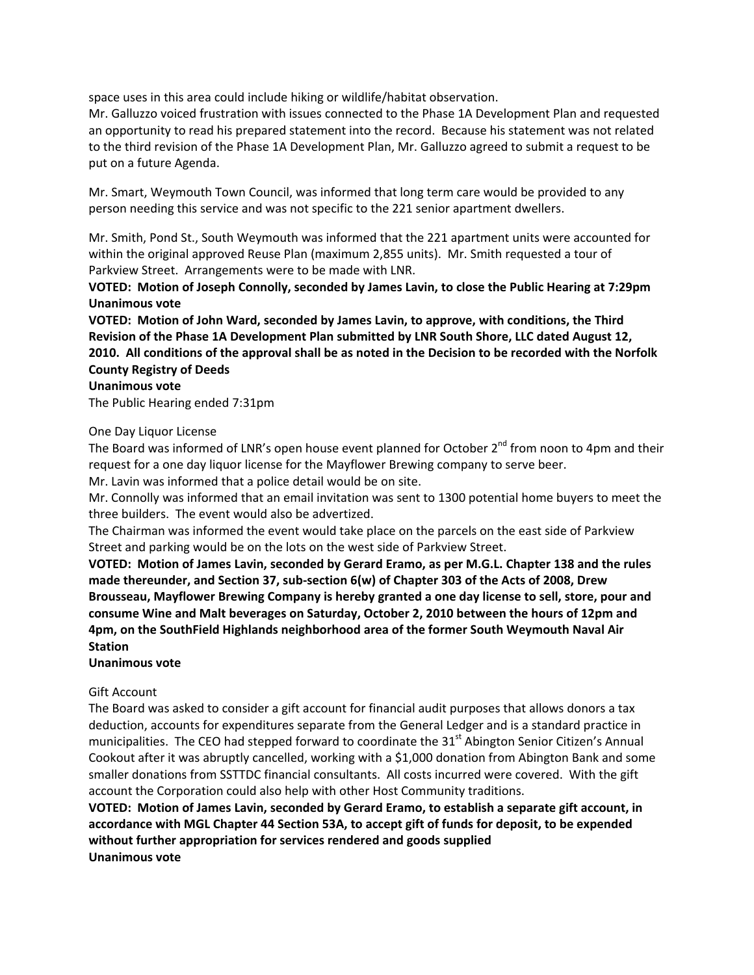space uses in this area could include hiking or wildlife/habitat observation.

Mr. Galluzzo voiced frustration with issues connected to the Phase 1A Development Plan and requested an opportunity to read his prepared statement into the record. Because his statement was not related to the third revision of the Phase 1A Development Plan, Mr. Galluzzo agreed to submit a request to be put on a future Agenda.

Mr. Smart, Weymouth Town Council, was informed that long term care would be provided to any person needing this service and was not specific to the 221 senior apartment dwellers.

Mr. Smith, Pond St., South Weymouth was informed that the 221 apartment units were accounted for within the original approved Reuse Plan (maximum 2,855 units). Mr. Smith requested a tour of Parkview Street. Arrangements were to be made with LNR.

**VOTED: Motion of Joseph Connolly, seconded by James Lavin, to close the Public Hearing at 7:29pm Unanimous vote**

**VOTED: Motion of John Ward, seconded by James Lavin, to approve, with conditions, the Third Revision of the Phase 1A Development Plan submitted by LNR South Shore, LLC dated August 12,** 2010. All conditions of the approval shall be as noted in the Decision to be recorded with the Norfolk **County Registry of Deeds**

### **Unanimous vote**

The Public Hearing ended 7:31pm

### One Day Liquor License

The Board was informed of LNR's open house event planned for October  $2^{nd}$  from noon to 4pm and their request for a one day liquor license for the Mayflower Brewing company to serve beer. Mr. Lavin was informed that a police detail would be on site.

Mr. Connolly was informed that an email invitation was sent to 1300 potential home buyers to meet the three builders. The event would also be advertized.

The Chairman was informed the event would take place on the parcels on the east side of Parkview Street and parking would be on the lots on the west side of Parkview Street.

**VOTED: Motion of James Lavin, seconded by Gerard Eramo, as per M.G.L. Chapter 138 and the rules made thereunder, and Section 37, sub‐section 6(w) of Chapter 303 of the Acts of 2008, Drew Brousseau, Mayflower Brewing Company is hereby granted a one day license to sell, store, pour and consume Wine and Malt beverages on Saturday, October 2, 2010 between the hours of 12pm and 4pm, on the SouthField Highlands neighborhood area of the former South Weymouth Naval Air Station**

# **Unanimous vote**

# Gift Account

The Board was asked to consider a gift account for financial audit purposes that allows donors a tax deduction, accounts for expenditures separate from the General Ledger and is a standard practice in municipalities. The CEO had stepped forward to coordinate the 31<sup>st</sup> Abington Senior Citizen's Annual Cookout after it was abruptly cancelled, working with a \$1,000 donation from Abington Bank and some smaller donations from SSTTDC financial consultants. All costs incurred were covered. With the gift account the Corporation could also help with other Host Community traditions.

**VOTED: Motion of James Lavin, seconded by Gerard Eramo, to establish a separate gift account, in accordance with MGL Chapter 44 Section 53A, to accept gift of funds for deposit, to be expended without further appropriation for services rendered and goods supplied Unanimous vote**